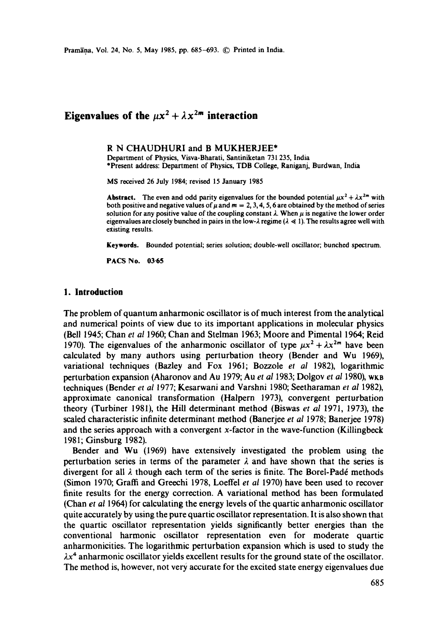# **Eigenvalues of the**  $\mu x^2 + \lambda x^{2m}$  **interaction**

### R N CHAUDHURI and B MUKHERJEE\*

Department of Physics, Visva-Bharati, Santiniketan 731 235, India \*Present address: Department of Physics, TDB College, Raniganj, Burdwan, India

MS received 26 July 1984; revised 15 January 1985

Abstract. The even and odd parity eigenvalues for the bounded potential  $\mu x^2 + \lambda x^{2m}$  with both positive and negative values of  $\mu$  and  $m = 2, 3, 4, 5, 6$  are obtained by the method of series solution for any positive value of the coupling constant  $\lambda$ . When  $\mu$  is negative the lower order eigenvalues are closely bunched in pairs in the low- $\lambda$  regime ( $\lambda \ll 1$ ). The results agree well with existing results.

Keywords. Bounded potential; series solution; double-well oscillator; bunched spectrum.

**PACS No. 03.65** 

### **1. Introduction**

The problem of quantum anharmonic oscillator is of much interest from the analytical and numerical points of view due to its important applications in molecular physics (Bell 1945; Chan *et al* 1960; Chan and Stelman 1963; Moore and Pimental 1964; Reid 1970). The eigenvalues of the anharmonic oscillator of type  $\mu x^2 + \lambda x^{2m}$  have been calculated by many authors using perturbation theory (Bender and Wu 1969), variational techniques (Bazley and Fox 1961; Bozzole *et al* 1982), logarithmic perturbation expansion (Aharonov and Au 1979; Au *et al* 1983; Dolgov *et al* 1980), wKB techniques (Bender *et al* 1977; Kesarwani and Varshni 1980; Seetharaman *et al* 1982), approximate canonical transformation (Halpern 1973), convergent perturbation theory (Turbiner 1981), the Hill determinant method (Biswas *et al* 1971, 1973), the scaled characteristic infinite determinant method (Banerjee *et al* 1978; Banerjee 1978) and the series approach with a convergent x-factor in the wave-function (Killingbeck 1981; Ginsburg 1982).

Bender and Wu (I969) have extensively investigated the problem using the perturbation series in terms of the parameter  $\lambda$  and have shown that the series is divergent for all  $\lambda$  though each term of the series is finite. The Borel-Padé methods (Simon 1970; Graffi and Greechi 1978, Loeffel *et al* 1970) have been used to recover finite results for the energy correction. A variational method has been formulated (Chan *et al* 1964) for calculating the energy levels of the quartic anharmonic oscillator quite accurately by using the pure quartic oscillator representation. It is also shown that the quartic oscillator representation yields significantly better energies than the conventional harmonic oscillator representation even for moderate quartic anharmonicities. The logarithmic perturbation expansion which is used to study the  $\lambda x^4$  anharmonic oscillator yields excellent results for the ground state of the oscillator. The method is, however, not very accurate for the excited state energy eigenvalues due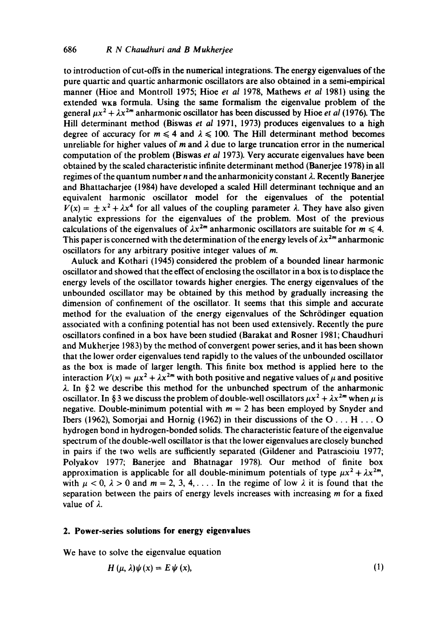to introduction ofcut-offs in the numerical integrations. The energy eigenvalues of the pure quartic and quartic anharmonic oscillators are also obtained in a semi-empirical manner (Hioe and Montroll 1975; Hioe *et al* 1978, Mathews *et al* 1981) using the extended w<sub>KB</sub> formula. Using the same formalism the eigenvalue problem of the general  $\mu x^2 + \lambda x^{2m}$  anharmonic oscillator has been discussed by Hioe *et al* (1976). The Hill determinant method (Biswas *et al* 1971, 1973) produces eigenvalues to a high degree of accuracy for  $m \le 4$  and  $\lambda \le 100$ . The Hill determinant method becomes unreliable for higher values of m and  $\lambda$  due to large truncation error in the numerical computation of the problem (Biswas *et al* 1973). Very accurate eigenvalues have been obtained by the scaled characteristic infinite determinant method (Banerjee 1978) in all regimes of the quantum number n and the anharmonicity constant  $\lambda$ . Recently Banerjee and Bhattacharjee (1984) have developed a scaled Hill determinant technique and an equivalent harmonic oscillator model for the eigenvalues of the potential  $V(x) = +x^2 + \lambda x^4$  for all values of the coupling parameter  $\lambda$ . They have also given analytic expressions for the eigenvalues of the problem. Most of the previous calculations of the eigenvalues of  $\lambda x^{2m}$  anharmonic oscillators are suitable for  $m \le 4$ . This paper is concerned with the determination of the energy levels of  $\lambda x^{2m}$  anharmonic oscillators for any arbitrary positive integer values of m.

Auluck and Kothari (1945) considered the problem of a bounded linear harmonic oscillator and showed that the effect of enclosing the oscillator in a box is to displace the energy levels of the oscillator towards higher energies. The energy eigenvalues of the unbounded oscillator may be obtained by this method by gradually increasing the dimension of confinement of the oscillator. It seems that this simple and accurate method for the evaluation of the energy eigenvalues of the Schrödinger equation associated with a confining potential has not been used extensively. Recently the pure oscillators confined in a box have been studied (Barakat and Rosner 1981; Chaudhuri and Mukherjee 1983) by the method of convergent power series, and it has been shown that the lower order eigenvalues tend rapidly to the values of the unbounded oscillator as the box is made of larger length. This finite box method is applied here to the interaction  $V(x) = \mu x^2 + \lambda x^{2m}$  with both positive and negative values of  $\mu$  and positive  $\lambda$ . In §2 we describe this method for the unbunched spectrum of the anharmonic oscillator. In § 3 we discuss the problem of double-well oscillators  $\mu x^2 + \lambda x^{2m}$  when  $\mu$  is negative. Double-minimum potential with  $m = 2$  has been employed by Snyder and Ibers (1962), Somorjai and Hornig (1962) in their discussions of the O... H... O hydrogen bond in hydrogen-bonded solids. The characteristic feature of the eigenvalue spectrum of the double-well oscillator is that the lower eigenvalues are closely bunched in pairs if the two wells are sufficiently separated (Gildener and Patrascioiu 1977; Polyakov 1977; Banerjee and Bhatnagar 1978). Our method of finite box approximation is applicable for all double-minimum potentials of type  $\mu x^2 + \lambda x^{2m}$ , with  $\mu < 0$ ,  $\lambda > 0$  and  $m = 2, 3, 4, \ldots$  In the regime of low  $\lambda$  it is found that the separation between the pairs of energy levels increases with increasing  $m$  for a fixed value of  $\lambda$ .

# **2. Power-series solutions for energy eigenvalues**

We have to solve the eigenvalue equation

$$
H(\mu, \lambda)\psi(x) = E\psi(x),\tag{1}
$$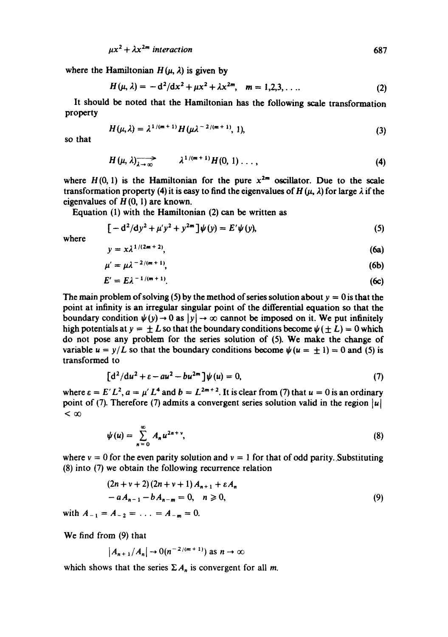$\mu x^2 + \lambda x^{2m}$  interaction 687

where the Hamiltonian  $H(\mu, \lambda)$  is given by

$$
H(\mu, \lambda) = -d^2/dx^2 + \mu x^2 + \lambda x^{2m}, \quad m = 1, 2, 3, \ldots
$$
 (2)

It should be noted that the Hamiltonian has the following scale transformation property

$$
H(\mu,\lambda) = \lambda^{1/(m+1)} H(\mu \lambda^{-2/(m+1)}, 1),
$$
 (3)

so that

$$
H(\mu,\lambda) \longrightarrow \lambda^{1/(m+1)} H(0,1) \ldots,
$$
 (4)

where  $H(0, 1)$  is the Hamiltonian for the pure  $x^{2m}$  oscillator. Due to the scale transformation property (4) it is easy to find the eigenvalues of  $H(\mu, \lambda)$  for large  $\lambda$  if the eigenvalues of  $H(0, 1)$  are known.

Equation (I) with the Hamiltonian (2) can be written as

$$
[-d^2/dy^2 + \mu' y^2 + y^{2m}]\psi(y) = E'\psi(y),
$$
\n(5)

where

$$
y = x\lambda^{1/(2m+2)},\tag{6a}
$$

$$
\mu' = \mu \lambda^{-2/(m+1)},\tag{6b}
$$

$$
E' = E\lambda^{-1/(m+1)}.\tag{6c}
$$

The main problem of solving (5) by the method of series solution about  $y = 0$  is that the point at infinity is an irregular singular point of the differential equation so that the boundary condition  $\psi(y) \to 0$  as  $|y| \to \infty$  cannot be imposed on it. We put infinitely high potentials at  $y = \pm L$  so that the boundary conditions become  $\psi(\pm L) = 0$  which do not pose any problem for the series solution of (5). We make the change of variable  $u = y/L$  so that the boundary conditions become  $\psi(u = \pm 1) = 0$  and (5) is transformed to

$$
\left[d^2/du^2 + \varepsilon - au^2 - bu^{2m}\right]\psi(u) = 0, \tag{7}
$$

where  $\varepsilon = E'L^2$ ,  $a = \mu' L^4$  and  $b = L^{2m+2}$ . It is clear from (7) that  $u = 0$  is an ordinary point of (7). Therefore (7) admits a convergent series solution valid in the region  $|u|$  $<\infty$ 

$$
\psi(u) = \sum_{n=0}^{\infty} A_n u^{2n+v}, \qquad (8)
$$

where  $v = 0$  for the even parity solution and  $v = 1$  for that of odd parity. Substituting (8) into (7) we obtain the following recurrence relation

$$
(2n + v + 2) (2n + v + 1) A_{n+1} + \varepsilon A_n
$$
  
-  $a A_{n-1} - b A_{n-m} = 0, \quad n \ge 0,$  (9)

with  $A_{-1}=A_{-2}=\ldots =A_{-m}=0$ .

We find from (9) that

$$
|A_{n+1}/A_n| \to O(n^{-2/(m+1)}) \text{ as } n \to \infty
$$

which shows that the series  $\Sigma A_n$  is convergent for all m.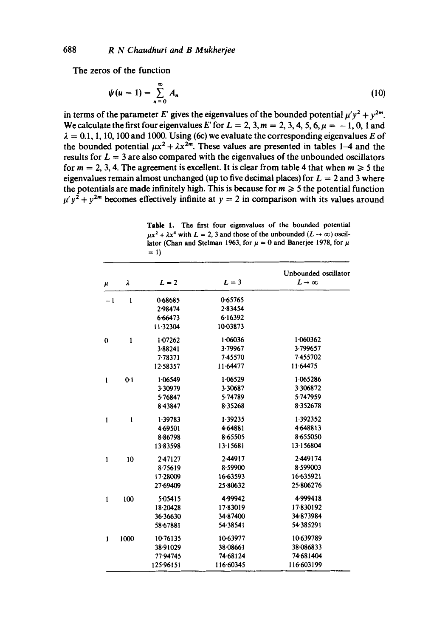**The zeros of the function** 

$$
\psi(u=1)=\sum_{n=0}^{\infty}A_n\tag{10}
$$

in terms of the parameter E' gives the eigenvalues of the bounded potential  $\mu'v^2 + v^{2m}$ . We calculate the first four eigenvalues E' for  $L = 2, 3, m = 2, 3, 4, 5, 6, \mu = -1, 0, 1$  and  $\lambda = 0.1, 1, 10, 100$  and 1000. Using (6c) we evaluate the corresponding eigenvalues E of the bounded potential  $\mu x^2 + \lambda x^{2m}$ . These values are presented in tables 1–4 and the results for  $L = 3$  are also compared with the eigenvalues of the unbounded oscillators for  $m = 2, 3, 4$ . The agreement is excellent. It is clear from table 4 that when  $m \ge 5$  the eigenvalues remain almost unchanged (up to five decimal places) for  $L = 2$  and 3 where the potentials are made infinitely high. This is because for  $m \geq 5$  the potential function  $\mu' y^2 + y^{2m}$  becomes effectively infinite at  $y = 2$  in comparison with its values around

**Table 1. The first four eigenvalues of the bounded potential**   $\mu x^2 + \lambda x^4$  with  $L = 2$ , 3 and those of the unbounded  $(L \to \infty)$  oscillator (Chan and Stelman 1963, for  $\mu = 0$  and Banerjee 1978, for  $\mu$  $= 1$ 

| $\mu$        | λ            | $L = 2$      | $L = 3$   | Unbounded oscillator<br>$L \rightarrow \infty$ |
|--------------|--------------|--------------|-----------|------------------------------------------------|
| $-1$         | $\mathbf{1}$ | 0.68685      | 0.65765   |                                                |
|              |              | 2.98474      | 2.83454   |                                                |
|              |              | 6.66473      | 6.16392   |                                                |
|              |              | $11 - 32304$ | 1003873   |                                                |
| $\bf{0}$     | $\mathbf{1}$ | 1.07262      | 1.06036   | 1.060362                                       |
|              |              | 3.88241      | 3.79967   | 3.799657                                       |
|              |              | 7.78371      | 7-45570   | 7-455702                                       |
|              |              | 12.58357     | 11.64477  | 11 64475                                       |
| $\mathbf{1}$ | $0-1$        | 1.06549      | 1.06529   | 1.065286                                       |
|              |              | 3.30979      | 3.30687   | 3.306872                                       |
|              |              | 5.76847      | 5.74789   | 5.747959                                       |
|              |              | 8.43847      | 8.35268   | 8.352678                                       |
| $\mathbf{1}$ | 1            | 1.39783      | 1.39235   | 1.392352                                       |
|              |              | 4.69501      | 4.64881   | 4.648813                                       |
|              |              | 886798       | 8.65505   | 8.655050                                       |
|              |              | 13.83598     | 13.15681  | 13.156804                                      |
| $\mathbf{1}$ | 10           | 2.47127      | 2.44917   | 2.449174                                       |
|              |              | 8.75619      | 8.59900   | 8.599003                                       |
|              |              | 17-28009     | 16.63593  | 16.635921                                      |
|              |              | 27.69409     | 25.80632  | 25.806276                                      |
| $\mathbf{1}$ | 100          | 5.05415      | 4.99942   | 4.999418                                       |
|              |              | 18.20428     | 17-83019  | 17830192                                       |
|              |              | 36.36630     | 34.87400  | 34873984                                       |
|              |              | 58.67881     | 54 38 541 | 54.385291                                      |
| 1            | 1000         | 10.76135     | 1063977   | 10-639789                                      |
|              |              | 38.91029     | 38.08661  | 38.086833                                      |
|              |              | 77.94745     | 74-68124  | 74 681 404                                     |
|              |              | 125.96151    | 116.60345 | 116.603199                                     |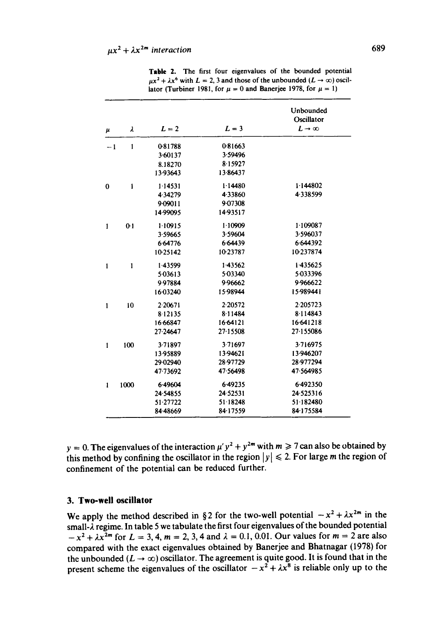| μ            | λ              | $L = 2$  | $L = 3$    | Unbounded<br>Oscillator<br>$L \rightarrow \infty$ |
|--------------|----------------|----------|------------|---------------------------------------------------|
|              |                |          |            |                                                   |
| $-1$         | $\mathbf{1}$   | 0-81788  | 0.81663    |                                                   |
|              |                | 3.60137  | 3.59496    |                                                   |
|              |                | 8.18270  | 8.15927    |                                                   |
|              |                | 13.93643 | 13.86437   |                                                   |
| $\bf{0}$     | $\mathbf{I}$   | 1.14531  | 1.14480    | 1.144802                                          |
|              |                | 4.34279  | 4.33860    | 4.338599                                          |
|              |                | 9.09011  | 9.07308    |                                                   |
|              |                | 14.99095 | 14.93517   |                                                   |
| $\mathbf{1}$ | 0 <sup>1</sup> | 1.10915  | 1.10909    | 1.109087                                          |
|              |                | 3.59665  | 3.59604    | 3.596037                                          |
|              |                | 6.64776  | 6.64439    | 6.644392                                          |
|              |                | 10.25142 | 10.23787   | 10 237874                                         |
| 1            | $\mathbf{1}$   | 1.43599  | 1.43562    | 1.435625                                          |
|              |                | 5.03613  | 5.03340    | 5.033396                                          |
|              |                | 9.97884  | 9.96662    | 9.966622                                          |
|              |                | 16.03240 | 15.98944   | 15.989441                                         |
| 1            | 10             | 2.20671  | 2.20572    | 2.205723                                          |
|              |                | 8.12135  | 8.11484    | 8.114843                                          |
|              |                | 16.66847 | 16.64121   | 16.641218                                         |
|              |                | 27-24647 | 27-15508   | 27.155086                                         |
| 1            | 100            | 3.71897  | 3.71697    | 3.716975                                          |
|              |                | 13.95889 | 13.94621   | 13.946207                                         |
|              |                | 29.02940 | 28.97729   | 28.977294                                         |
|              |                | 47-73692 | 47.56498   | 47-564985                                         |
| 1            | 1000           | 6.49604  | 6.49235    | 6.492350                                          |
|              |                | 24.54855 | 24 5 25 31 | 24.525316                                         |
|              |                | 51.27722 | 51 18248   | 51.182480                                         |
|              |                | 84.48669 | 84-17559   | 84-175584                                         |

Table 2. The first four eigenvalues of the bounded potential  $\mu x^2 + \lambda x^6$  with  $L = 2$ , 3 and those of the unbounded  $(L \rightarrow \infty)$  oscillator (Turbiner 1981, for  $\mu = 0$  and Banerjee 1978, for  $\mu = 1$ )

 $y = 0$ . The eigenvalues of the interaction  $\mu' y^2 + y^{2m}$  with  $m \ge 7$  can also be obtained by this method by confining the oscillator in the region  $|y| \le 2$ . For large m the region of confinement of the potential can be reduced further.

## **3. Two-well oscillator**

We apply the method described in §2 for the two-well potential  $-x^2 + \lambda x^{2m}$  in the small-2 regime. In table 5 we tabulate the first four eigenvalues of the bounded potential  $-x^2 + \lambda x^{2m}$  for  $L = 3, 4, m = 2, 3, 4$  and  $\lambda = 0.1, 0.01$ . Our values for  $m = 2$  are also compared with the exact eigenvalues obtained by Banerjee and Bhatnagar (1978) for the unbounded  $(L \to \infty)$  oscillator. The agreement is quite good. It is found that in the present scheme the eigenvalues of the oscillator  $-x^2 + \lambda x^8$  is reliable only up to the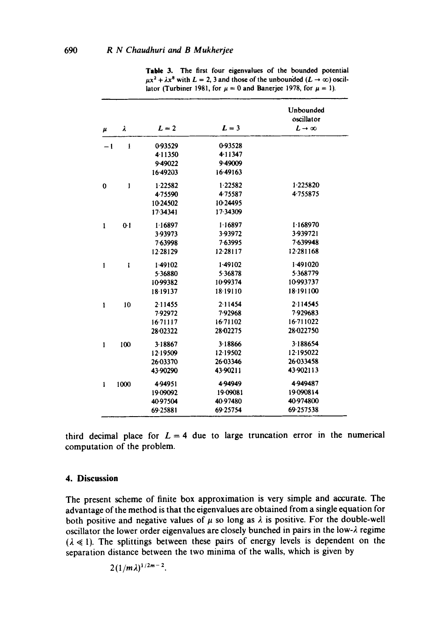|                    |                |          |          | Unbounded<br>oscillator |
|--------------------|----------------|----------|----------|-------------------------|
| $\boldsymbol{\mu}$ | λ              | $L = 2$  | $L=3$    | $L \rightarrow \infty$  |
| $-1$               | $\mathbf{I}$   | 0-93529  | 0-93528  |                         |
|                    |                | 4.11350  | 4.11347  |                         |
|                    |                | 9.49022  | 9.49009  |                         |
|                    |                | 16.49203 | 16.49163 |                         |
| $\bf{0}$           | 1              | 1.22582  | 1.22582  | 1.225820                |
|                    |                | 4.75590  | 4.75587  | 4.755875                |
|                    |                | 1024502  | 10.24495 |                         |
|                    |                | 17-34341 | 17-34309 |                         |
| 1                  | 0 <sub>1</sub> | 1.16897  | 1.16897  | 1.168970                |
|                    |                | 3-93973  | 3-93972  | 3.939721                |
|                    |                | 763998   | 7.63995  | 7.639948                |
|                    |                | 12.28129 | 12.28117 | 12.281168               |
| 1                  | ı              | 149102   | 1.49102  | 1.491020                |
|                    |                | 5.36880  | 5.36878  | 5.368779                |
|                    |                | 10-99382 | 10.99374 | 10-993737               |
|                    |                | 18-19137 | 18.19110 | 18.191100               |
| ı                  | 10             | 2.11455  | 2.11454  | 2.114545                |
|                    |                | 7.92972  | 7.92968  | 7929683                 |
|                    |                | 16.71117 | 16.71102 | 16.711022               |
|                    |                | 28.02322 | 28.02275 | 28.022750               |
| $\mathbf{1}$       | 100            | 3.18867  | 3.18866  | 3.188654                |
|                    |                | 12.19509 | 12.19502 | 12.195022               |
|                    |                | 26.03370 | 26.03346 | 26 033458               |
|                    |                | 43.90290 | 43.90211 | 43.902113               |
| 1                  | 1000           | 4.94951  | 4.94949  | 4.949487                |
|                    |                | 19-09092 | 19-09081 | 19 09 08 14             |
|                    |                | 4097504  | 40.97480 | 40-974800               |
|                    |                | 69-25881 | 69-25754 | 69.257538               |

**Table** 3. The first four eigenvalues of the bounded potential  $\mu x^2 + \lambda x^8$  with  $L = 2$ , 3 and those of the unbounded  $(L \rightarrow \infty)$  oscillator (Turbiner 1981, for  $\mu = 0$  and Banerjee 1978, for  $\mu = 1$ ).

third decimal place for  $L = 4$  due to large truncation error in the numerical computation of the problem.

### **4. Discussion**

The present scheme of finite box approximation is very simple and accurate. The advantage of the method is that the eigenvalues are obtained from a single equation for both positive and negative values of  $\mu$  so long as  $\lambda$  is positive. For the double-well oscillator the lower order eigenvalues are closely bunched in pairs in the low- $\lambda$  regime  $(\lambda \ll 1)$ . The splittings between these pairs of energy levels is dependent on the separation distance between the two minima of the walls, which is given by

 $2(1/m\lambda)^{1/2m-2}$ .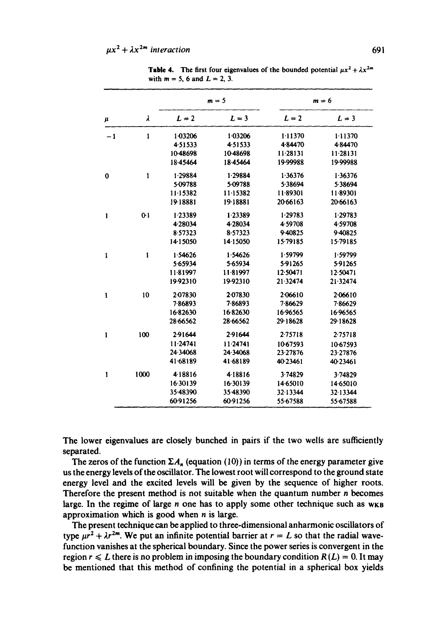|              | λ            | $m = 5$  |          | $m = 6$  |           |
|--------------|--------------|----------|----------|----------|-----------|
| $\mu$        |              | $L = 2$  | $L = 3$  | $L = 2$  | $L = 3$   |
| $-1$         | 1            | 1.03206  | 1.03206  | 1.11370  | 1.11370   |
|              |              | 4.51533  | 4.51533  | 4.84470  | 484470    |
|              |              | 10-48698 | 10-48698 | 11.28131 | 11.28131  |
|              |              | 18.45464 | 18-45464 | 19.99988 | 19.99988  |
| 0            | $\mathbf{1}$ | 1.29884  | 1.29884  | 1.36376  | 1.36376   |
|              |              | 5-09788  | 5.09788  | 5.38694  | 5.38694   |
|              |              | 11.15382 | 11-15382 | 11.89301 | 11.89301  |
|              |              | 19-18881 | 19.18881 | 20.66163 | 20-66163  |
| 1            | $0-1$        | 1.23389  | 1.23389  | 1.29783  | 1.29783   |
|              |              | 4.28034  | 4.28034  | 4.59708  | 4.59708   |
|              |              | 857323   | 8.57323  | 9.40825  | 9.40825   |
|              |              | 14.15050 | 14.15050 | 15.79185 | 15.79185  |
| 1            | 1            | 1.54626  | 1.54626  | 1.59799  | 1.59799   |
|              |              | 5.65934  | 5.65934  | 5.91265  | 5.91265   |
|              |              | 11.81997 | 11.81997 | 12.50471 | 12.50471  |
|              |              | 19.92310 | 19.92310 | 21.32474 | 21.32474  |
| 1            | 10           | 2-07830  | 2.07830  | 2.06610  | 2.06610   |
|              |              | 786893   | 7.86893  | 7.86629  | 7.86629   |
|              |              | 16.82630 | 16.82630 | 16.96565 | 16.96565  |
|              |              | 28.66562 | 28.66562 | 29.18628 | 29-18628  |
| 1            | 100          | 2.91644  | 2.91644  | 2.75718  | 2.75718   |
|              |              | 11.24741 | 11.24741 | 10-67593 | 10-67593  |
|              |              | 24.34068 | 24.34068 | 23-27876 | 23.27876  |
|              |              | 41 68189 | 41.68189 | 40-23461 | 40 23 461 |
| $\mathbf{1}$ | 1000         | 418816   | 4.18816  | 3.74829  | 3.74829   |
|              |              | 16.30139 | 16.30139 | 14.65010 | 14 65010  |
|              |              | 35.48390 | 35-48390 | 32.13344 | 32.13344  |
|              |              | 60-91256 | 60.91256 | 55-67588 | 55.67588  |

**Table 4.** The first four eigenvalues of the bounded potential  $\mu x^2 + \lambda x^{2m}$ . with  $m = 5$ , 6 and  $L = 2$ , 3.

**The lower eigenvalues are closely bunched in pairs if the two wells are sufficiently separated.** 

The zeros of the function  $\Sigma A_n$  (equation (10)) in terms of the energy parameter give **us the energy levels of the oscillator. The lowest root will correspond to the ground state energy level and the excited levels will be given by the sequence of higher roots. Therefore the present method is not suitable when the quantum number n becomes**  large. In the regime of large *n* one has to apply some other technique such as  $w<sub>KB</sub>$ **approximation which is good when n is large.** 

**The present technique can be applied to three-dimensional anharmonic oscillators of**  type  $\mu r^2 + \lambda r^{2m}$ . We put an infinite potential barrier at  $r = L$  so that the radial wave**function vanishes at the spherical boundary. Since the power series is convergent in the**  region  $r \le L$  there is no problem in imposing the boundary condition  $R(L) = 0$ . It may **be mentioned that this method of confining the potential in a spherical box yields**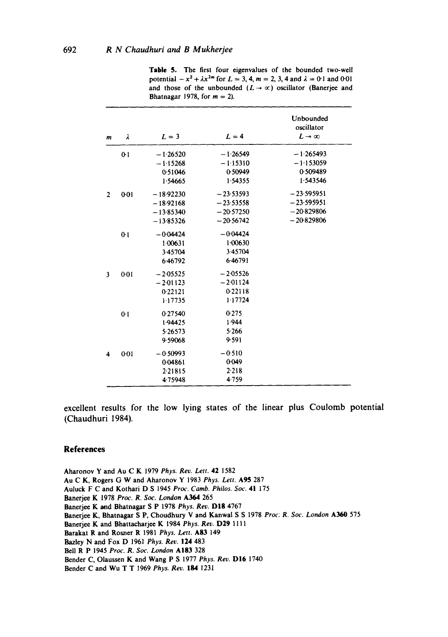| $\boldsymbol{m}$ | λ     | $L = 3$     | $L = 4$     | Unbounded<br>oscillator<br>$L \rightarrow \infty$ |
|------------------|-------|-------------|-------------|---------------------------------------------------|
|                  | $0-1$ | $-1.26520$  | $-1.26549$  | $-1.265493$                                       |
|                  |       | $-1.15268$  | $-1.15310$  | $-1.153059$                                       |
|                  |       | 0.51046     | 0.50949     | 0.509489                                          |
|                  |       | 1.54665     | 1.54355     | 1.543546                                          |
| $\overline{2}$   | 0:01  | $-18.92230$ | $-23.53593$ | $-23.595951$                                      |
|                  |       | $-18.92168$ | $-23.53558$ | $-23.595951$                                      |
|                  |       | $-13.85340$ | $-20:57250$ | $-20.829806$                                      |
|                  |       | $-13.85326$ | $-20:56742$ | $-20.829806$                                      |
|                  | $0-1$ | $-0.04424$  | $-0.04424$  |                                                   |
|                  |       | 1.00631     | 1.00630     |                                                   |
|                  |       | 3.45704     | 3.45704     |                                                   |
|                  |       | 6.46792     | 6.46791     |                                                   |
|                  | 0:01  | $-2.05525$  | $-2.05526$  |                                                   |
|                  |       | $-2.01123$  | $-2.01124$  |                                                   |
|                  |       | 0.22121     | 0.22118     |                                                   |
|                  |       | 1.17735     | 1.17724     |                                                   |
|                  | 0.1   | 0.27540     | 0.275       |                                                   |
|                  |       | 1.94425     | 1.944       |                                                   |
|                  |       | 5.26573     | 5.266       |                                                   |
|                  |       | 9.59068     | 9.591       |                                                   |
| 4                | 0:01  | $-0.50993$  | $-0.510$    |                                                   |
|                  |       | 0.04861     | 0.049       |                                                   |
|                  |       | 2.21815     | 2.218       |                                                   |
|                  |       | 4.75948     | 4759        |                                                   |

Table 5. The first four eigenvalues of the bounded two-well potential  $-x^2 + \lambda x^{2m}$  for  $L = 3, 4, m = 2, 3, 4$  and  $\lambda = 0.1$  and  $0.01$ and those of the unbounded  $(L \rightarrow \infty)$  oscillator (Banerjee and Bhatnagar 1978, for  $m = 2$ ).

**excellent results for the low lying states of the linear plus Coulomb potential (Chaudhuri 1984).** 

#### **References**

Aharonov Y and Au C K 1979 *Phys. Rev. Lett.* 42 1382 Au C K, Rogers G W and Aharonov Y 1983 *Phys. Lett.* A95 287 Auluck F C and Kothari D S 1945 *Proc. Camb. Philos. Soc.* 41 175 Banerjee K 1978 *Proc. R, Soc. London* A364 265 Banerje¢ K and Bhatnagar S P 1978 Phys. *Rev.* DIS 4767 Banerjee K, Bbatnagax S P, Choudhury V and Kanwal S S 1978 *Proc: R. Soc. London* A360 573 Baner]ee K and Bhattacharjee K 1984 *Phys. Rev.* D29 1111 Barakat R and Rosner R 1981 Phys. Lett. A83 149 Bazley N and Fox D 1961 *Phys. Rev.* 124 483 Bell R P 1945 *Proc. R. Soc. London* AI83 328 Bender C, Olaussen K and Wang P S 1977 *Phys. Rev.* DI6 1740 Bender C and Wu T T 1969 *Phys. Rev.* 184 1231